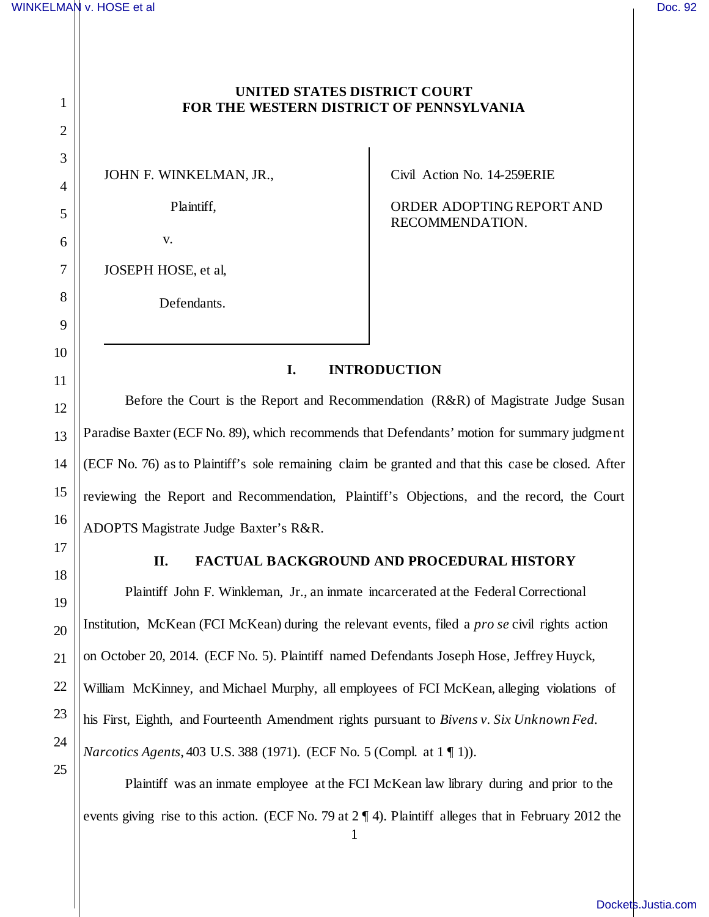1

2

3

4

5

6

7

8

9

10

11

12

13

14

15

16

17

18

19

20

21

22

23

24

25

## **UNITED STATES DISTRICT COURT FOR THE WESTERN DISTRICT OF PENNSYLVANIA**

JOHN F. WINKELMAN, JR.,

Plaintiff,

v.

JOSEPH HOSE, et al,

Defendants.

Civil Action No. 14-259ERIE

ORDER ADOPTING REPORT AND RECOMMENDATION.

## **I. INTRODUCTION**

Before the Court is the Report and Recommendation (R&R) of Magistrate Judge Susan Paradise Baxter (ECF No. 89), which recommends that Defendants' motion for summary judgment (ECF No. 76) as to Plaintiff's sole remaining claim be granted and that this case be closed. After reviewing the Report and Recommendation, Plaintiff's Objections, and the record, the Court ADOPTS Magistrate Judge Baxter's R&R.

### **II. FACTUAL BACKGROUND AND PROCEDURAL HISTORY**

Plaintiff John F. Winkleman, Jr., an inmate incarcerated at the Federal Correctional Institution, McKean (FCI McKean) during the relevant events, filed a *pro se* civil rights action on October 20, 2014. (ECF No. 5). Plaintiff named Defendants Joseph Hose, Jeffrey Huyck, William McKinney, and Michael Murphy, all employees of FCI McKean, alleging violations of his First, Eighth, and Fourteenth Amendment rights pursuant to *Bivens v. Six Unknown Fed. Narcotics Agents*, 403 U.S. 388 (1971). (ECF No. 5 (Compl. at 1 ¶ 1)).

Plaintiff was an inmate employee at the FCI McKean law library during and prior to the events giving rise to this action. (ECF No. 79 at 2 ¶ 4). Plaintiff alleges that in February 2012 the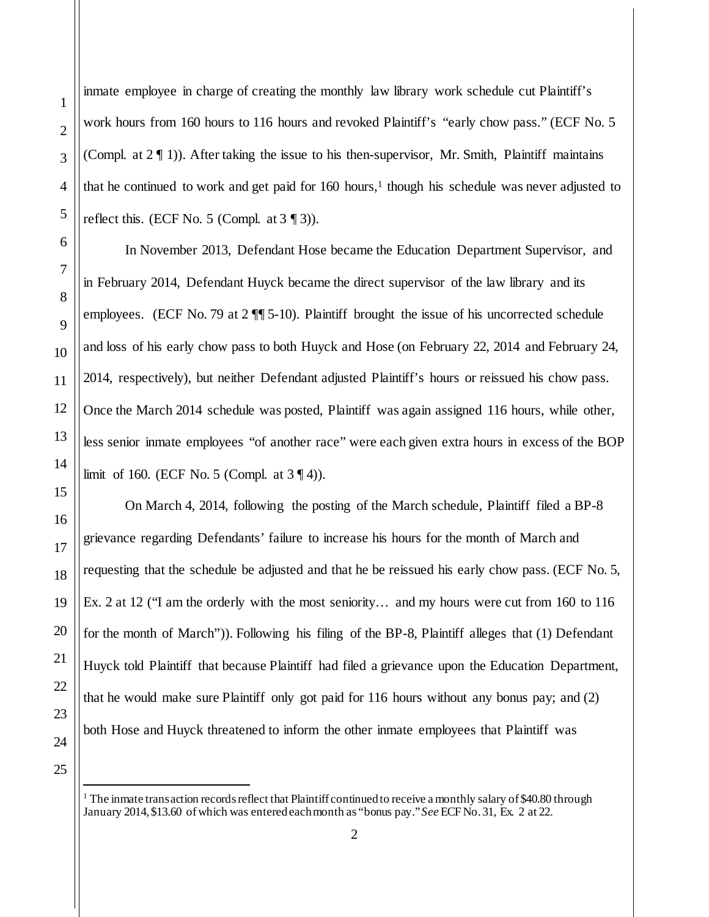inmate employee in charge of creating the monthly law library work schedule cut Plaintiff's work hours from 160 hours to 116 hours and revoked Plaintiff's "early chow pass." (ECF No. 5 (Compl. at  $2 \nvert 1$ )). After taking the issue to his then-supervisor, Mr. Smith, Plaintiff maintains that he continued to work and get paid for 160 hours, [1](#page-1-0) though his schedule was never adjusted to reflect this. (ECF No. 5 (Compl. at  $3 \text{ } (3)$ ).

In November 2013, Defendant Hose became the Education Department Supervisor, and in February 2014, Defendant Huyck became the direct supervisor of the law library and its employees. (ECF No. 79 at 2  $\P$  5-10). Plaintiff brought the issue of his uncorrected schedule and loss of his early chow pass to both Huyck and Hose (on February 22, 2014 and February 24, 2014, respectively), but neither Defendant adjusted Plaintiff's hours or reissued his chow pass. Once the March 2014 schedule was posted, Plaintiff was again assigned 116 hours, while other, less senior inmate employees "of another race" were each given extra hours in excess of the BOP limit of 160. (ECF No. 5 (Compl. at  $3 \nvert 4$ )).

On March 4, 2014, following the posting of the March schedule, Plaintiff filed a BP-8 grievance regarding Defendants' failure to increase his hours for the month of March and requesting that the schedule be adjusted and that he be reissued his early chow pass. (ECF No. 5, Ex. 2 at 12 ("I am the orderly with the most seniority… and my hours were cut from 160 to 116 for the month of March")). Following his filing of the BP-8, Plaintiff alleges that (1) Defendant Huyck told Plaintiff that because Plaintiff had filed a grievance upon the Education Department, that he would make sure Plaintiff only got paid for 116 hours without any bonus pay; and (2) both Hose and Huyck threatened to inform the other inmate employees that Plaintiff was

<span id="page-1-0"></span>

-

 $1$  The inmate transaction records reflect that Plaintiff continued to receive a monthly salary of \$40.80 through January 2014, \$13.60 of which was entered each month as "bonus pay." *See* ECF No. 31, Ex. 2 at 22.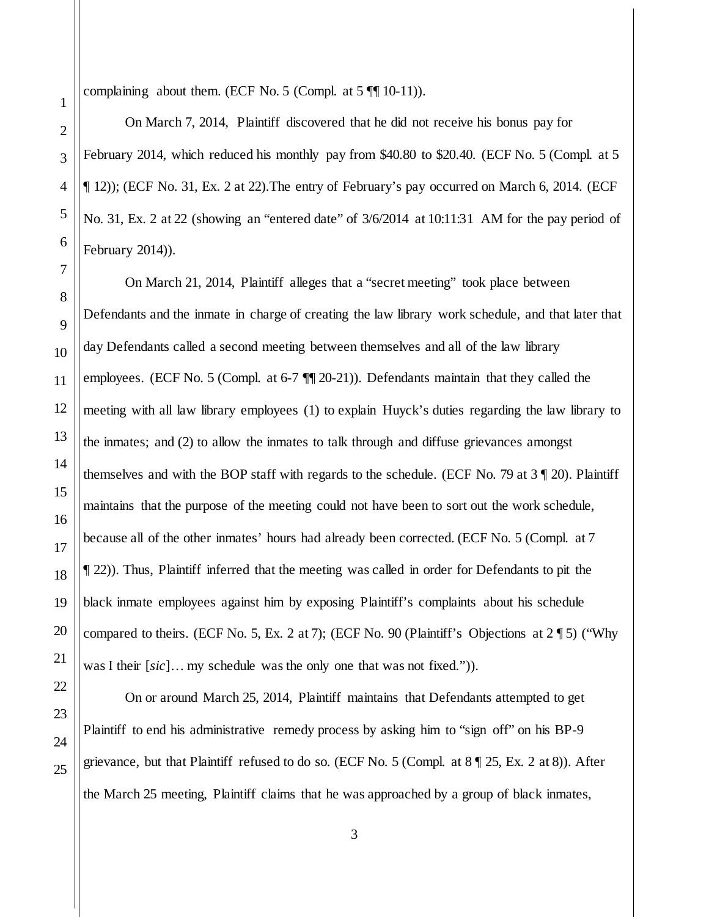complaining about them. (ECF No. 5 (Compl. at  $5 \sqrt{\pi} 10^{-11}$ )).

On March 7, 2014, Plaintiff discovered that he did not receive his bonus pay for February 2014, which reduced his monthly pay from \$40.80 to \$20.40. (ECF No. 5 (Compl. at 5 ¶ 12)); (ECF No. 31, Ex. 2 at 22).The entry of February's pay occurred on March 6, 2014. (ECF No. 31, Ex. 2 at 22 (showing an "entered date" of 3/6/2014 at 10:11:31 AM for the pay period of February 2014)).

On March 21, 2014, Plaintiff alleges that a "secret meeting" took place between Defendants and the inmate in charge of creating the law library work schedule, and that later that day Defendants called a second meeting between themselves and all of the law library employees. (ECF No. 5 (Compl. at 6-7 ¶¶ 20-21)). Defendants maintain that they called the meeting with all law library employees (1) to explain Huyck's duties regarding the law library to the inmates; and (2) to allow the inmates to talk through and diffuse grievances amongst themselves and with the BOP staff with regards to the schedule. (ECF No. 79 at 3 ¶ 20). Plaintiff maintains that the purpose of the meeting could not have been to sort out the work schedule, because all of the other inmates' hours had already been corrected. (ECF No. 5 (Compl. at 7 ¶ 22)). Thus, Plaintiff inferred that the meeting was called in order for Defendants to pit the black inmate employees against him by exposing Plaintiff's complaints about his schedule compared to theirs. (ECF No. 5, Ex. 2 at 7); (ECF No. 90 (Plaintiff's Objections at  $2 \sqrt{9}$  5) ("Why was I their [*sic*]… my schedule was the only one that was not fixed.")).

On or around March 25, 2014, Plaintiff maintains that Defendants attempted to get Plaintiff to end his administrative remedy process by asking him to "sign off" on his BP-9 grievance, but that Plaintiff refused to do so. (ECF No. 5 (Compl. at  $8 \P 25$ , Ex. 2 at 8)). After the March 25 meeting, Plaintiff claims that he was approached by a group of black inmates,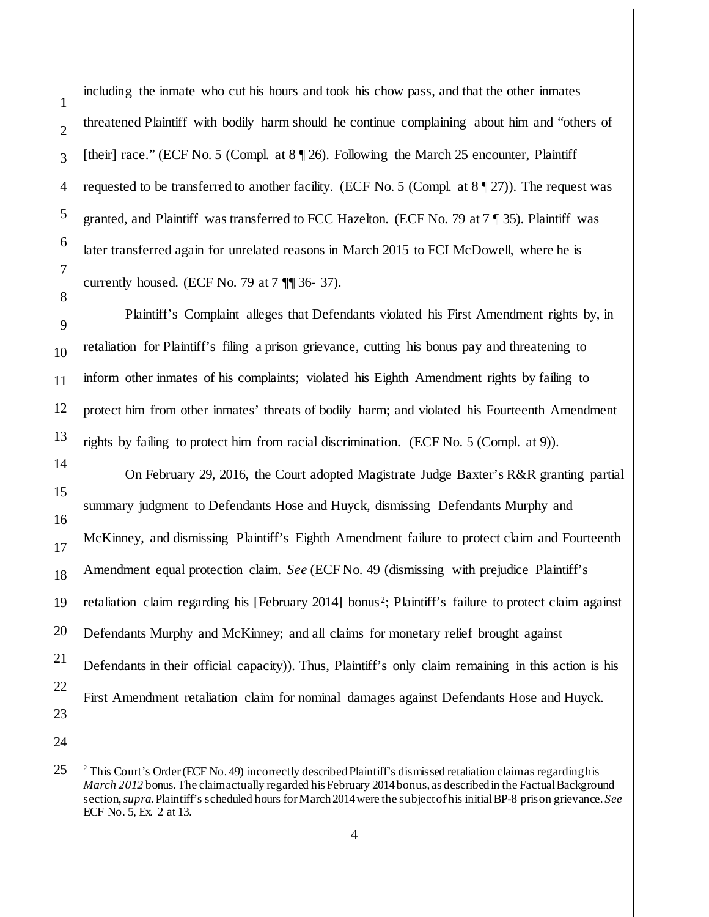including the inmate who cut his hours and took his chow pass, and that the other inmates threatened Plaintiff with bodily harm should he continue complaining about him and "others of [their] race." (ECF No. 5 (Compl. at  $8 \sqrt{26}$ ). Following the March 25 encounter, Plaintiff requested to be transferred to another facility. (ECF No. 5 (Compl. at  $8 \sqrt{\frac{27}{2}}$ )). The request was granted, and Plaintiff was transferred to FCC Hazelton. (ECF No. 79 at 7 ¶ 35). Plaintiff was later transferred again for unrelated reasons in March 2015 to FCI McDowell, where he is currently housed. (ECF No. 79 at  $7 \sqrt{\frac{9}{1}} 36 - 37$ ).

Plaintiff's Complaint alleges that Defendants violated his First Amendment rights by, in retaliation for Plaintiff's filing a prison grievance, cutting his bonus pay and threatening to inform other inmates of his complaints; violated his Eighth Amendment rights by failing to protect him from other inmates' threats of bodily harm; and violated his Fourteenth Amendment rights by failing to protect him from racial discrimination. (ECF No. 5 (Compl. at 9)).

On February 29, 2016, the Court adopted Magistrate Judge Baxter's R&R granting partial summary judgment to Defendants Hose and Huyck, dismissing Defendants Murphy and McKinney, and dismissing Plaintiff's Eighth Amendment failure to protect claim and Fourteenth Amendment equal protection claim. *See* (ECF No. 49 (dismissing with prejudice Plaintiff's retaliation claim regarding his [February [2](#page-3-0)014] bonus<sup>2</sup>; Plaintiff's failure to protect claim against Defendants Murphy and McKinney; and all claims for monetary relief brought against Defendants in their official capacity)). Thus, Plaintiff's only claim remaining in this action is his First Amendment retaliation claim for nominal damages against Defendants Hose and Huyck.

<span id="page-3-0"></span>

 $\overline{a}$ 

<sup>&</sup>lt;sup>2</sup> This Court's Order (ECF No. 49) incorrectly described Plaintiff's dismissed retaliation claim as regarding his *March 2012* bonus. The claim actually regarded his February 2014 bonus, as described in the Factual Background section, *supra*. Plaintiff's scheduled hours for March 2014 were the subject of his initial BP-8 prison grievance. *See* ECF No. 5, Ex. 2 at 13.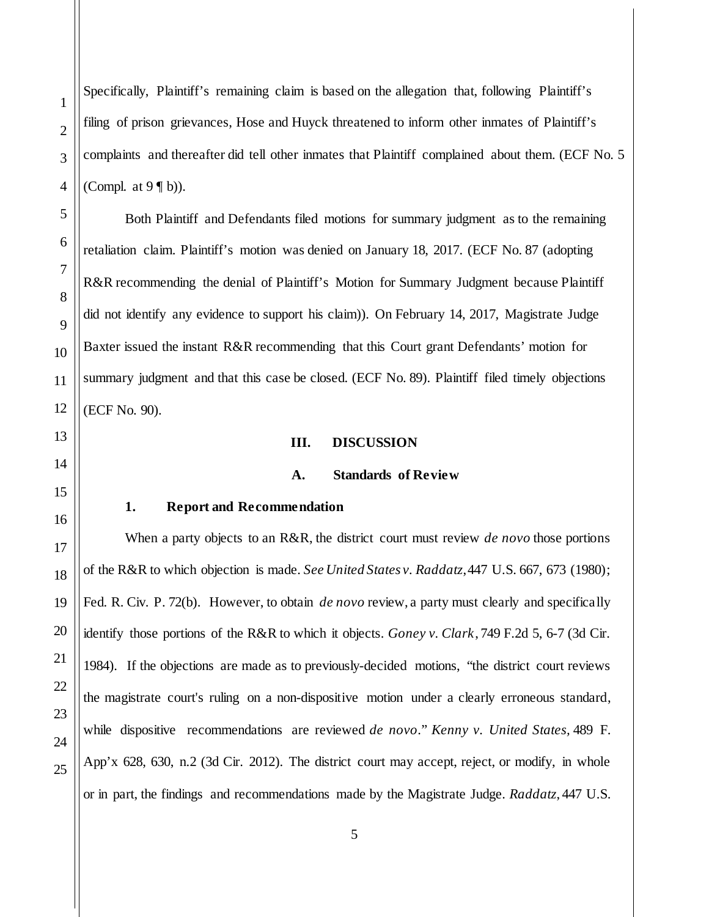Specifically, Plaintiff's remaining claim is based on the allegation that, following Plaintiff's filing of prison grievances, Hose and Huyck threatened to inform other inmates of Plaintiff's complaints and thereafter did tell other inmates that Plaintiff complained about them. (ECF No. 5 (Compl. at  $9 \nvert b$ ).

Both Plaintiff and Defendants filed motions for summary judgment as to the remaining retaliation claim. Plaintiff's motion was denied on January 18, 2017. (ECF No. 87 (adopting R&R recommending the denial of Plaintiff's Motion for Summary Judgment because Plaintiff did not identify any evidence to support his claim)). On February 14, 2017, Magistrate Judge Baxter issued the instant R&R recommending that this Court grant Defendants' motion for summary judgment and that this case be closed. (ECF No. 89). Plaintiff filed timely objections (ECF No. 90).

#### **III. DISCUSSION**

#### **A. Standards of Review**

#### **1. Report and Recommendation**

When a party objects to an R&R, the district court must review *de novo* those portions of the R&R to which objection is made. *See United States v. Raddatz*, 447 U.S. 667, 673 (1980); Fed. R. Civ. P. 72(b). However, to obtain *de novo* review, a party must clearly and specifically identify those portions of the R&R to which it objects. *Goney v. Clark*, 749 F.2d 5, 6-7 (3d Cir. 1984). If the objections are made as to previously-decided motions, "the district court reviews the magistrate court's ruling on a non-dispositive motion under a clearly erroneous standard, while dispositive recommendations are reviewed *de novo*." *Kenny v. United States,* 489 F. App'x 628, 630, n.2 (3d Cir. 2012). The district court may accept, reject, or modify, in whole or in part, the findings and recommendations made by the Magistrate Judge. *Raddatz*, 447 U.S.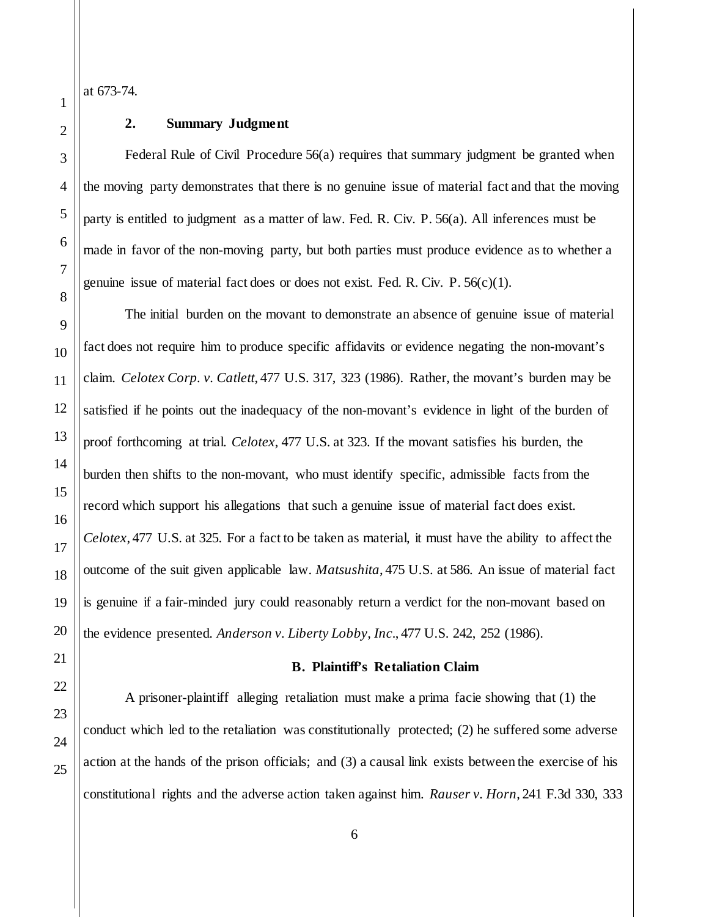at 673-74.

## **2. Summary Judgment**

Federal Rule of Civil Procedure 56(a) requires that summary judgment be granted when the moving party demonstrates that there is no genuine issue of material fact and that the moving party is entitled to judgment as a matter of law. Fed. R. Civ. P. 56(a). All inferences must be made in favor of the non-moving party, but both parties must produce evidence as to whether a genuine issue of material fact does or does not exist. Fed. R. Civ. P.  $56(c)(1)$ .

The initial burden on the movant to demonstrate an absence of genuine issue of material fact does not require him to produce specific affidavits or evidence negating the non-movant's claim. *Celotex Corp. v. Catlett*, 477 U.S. 317, 323 (1986). Rather, the movant's burden may be satisfied if he points out the inadequacy of the non-movant's evidence in light of the burden of proof forthcoming at trial. *Celotex*, 477 U.S. at 323. If the movant satisfies his burden, the burden then shifts to the non-movant, who must identify specific, admissible facts from the record which support his allegations that such a genuine issue of material fact does exist. *Celotex*, 477 U.S. at 325. For a fact to be taken as material, it must have the ability to affect the outcome of the suit given applicable law. *Matsushita*, 475 U.S. at 586. An issue of material fact is genuine if a fair-minded jury could reasonably return a verdict for the non-movant based on the evidence presented. *Anderson v. Liberty Lobby, Inc.*, 477 U.S. 242, 252 (1986).

#### **B. Plaintiff's Retaliation Claim**

A prisoner-plaintiff alleging retaliation must make a prima facie showing that (1) the conduct which led to the retaliation was constitutionally protected; (2) he suffered some adverse action at the hands of the prison officials; and (3) a causal link exists between the exercise of his constitutional rights and the adverse action taken against him. *Rauser v. Horn*, 241 F.3d 330, 333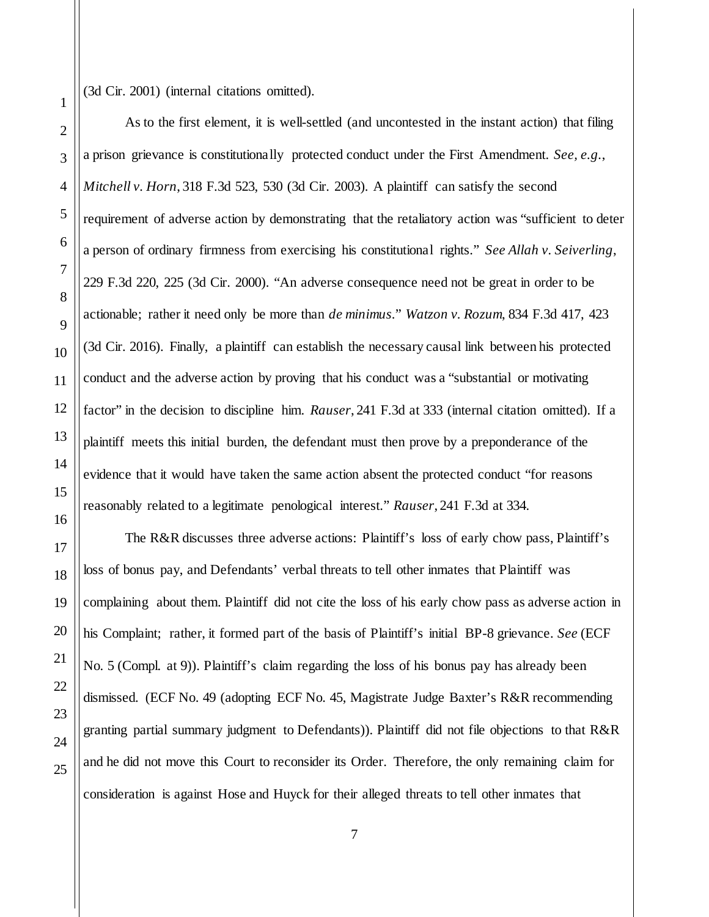(3d Cir. 2001) (internal citations omitted).

As to the first element, it is well-settled (and uncontested in the instant action) that filing a prison grievance is constitutionally protected conduct under the First Amendment. *See, e.g.*, *Mitchell v. Horn*, 318 F.3d 523, 530 (3d Cir. 2003). A plaintiff can satisfy the second requirement of adverse action by demonstrating that the retaliatory action was "sufficient to deter a person of ordinary firmness from exercising his constitutional rights." *See Allah v. Seiverling*, 229 F.3d 220, 225 (3d Cir. 2000). "An adverse consequence need not be great in order to be actionable; rather it need only be more than *de minimus*." *Watzon v. Rozum*, 834 F.3d 417, 423 (3d Cir. 2016). Finally, a plaintiff can establish the necessary causal link between his protected conduct and the adverse action by proving that his conduct was a "substantial or motivating factor" in the decision to discipline him. *Rauser*, 241 F.3d at 333 (internal citation omitted). If a plaintiff meets this initial burden, the defendant must then prove by a preponderance of the evidence that it would have taken the same action absent the protected conduct "for reasons reasonably related to a legitimate penological interest." *Rauser*, 241 F.3d at 334.

The R&R discusses three adverse actions: Plaintiff's loss of early chow pass, Plaintiff's loss of bonus pay, and Defendants' verbal threats to tell other inmates that Plaintiff was complaining about them. Plaintiff did not cite the loss of his early chow pass as adverse action in his Complaint; rather, it formed part of the basis of Plaintiff's initial BP-8 grievance. *See* (ECF No. 5 (Compl. at 9)). Plaintiff's claim regarding the loss of his bonus pay has already been dismissed. (ECF No. 49 (adopting ECF No. 45, Magistrate Judge Baxter's R&R recommending granting partial summary judgment to Defendants)). Plaintiff did not file objections to that R&R and he did not move this Court to reconsider its Order. Therefore, the only remaining claim for consideration is against Hose and Huyck for their alleged threats to tell other inmates that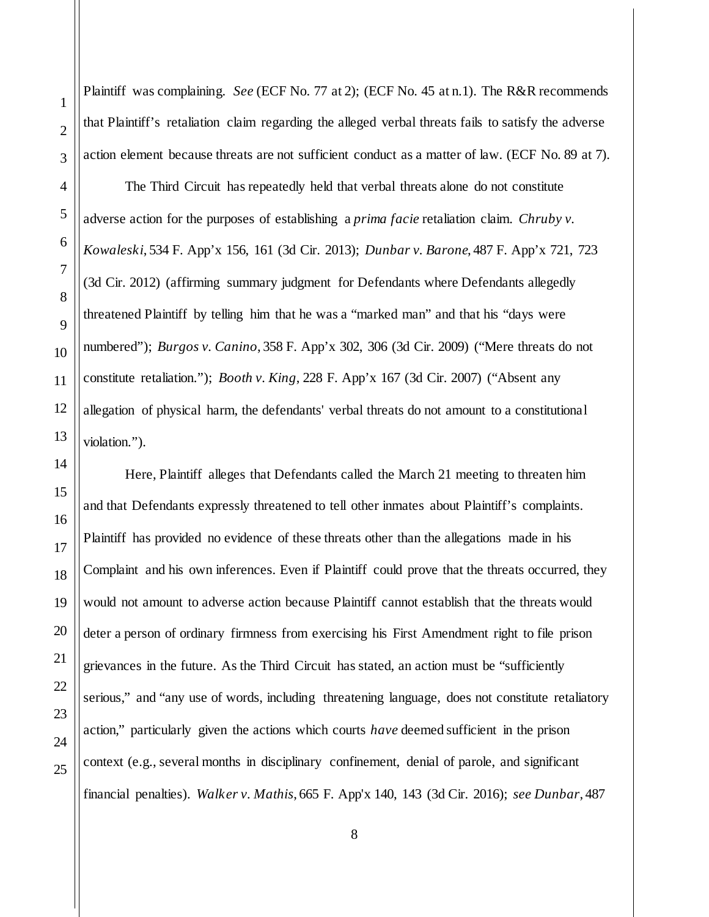Plaintiff was complaining. *See* (ECF No. 77 at 2); (ECF No. 45 at n.1). The R&R recommends that Plaintiff's retaliation claim regarding the alleged verbal threats fails to satisfy the adverse action element because threats are not sufficient conduct as a matter of law. (ECF No. 89 at 7).

The Third Circuit has repeatedly held that verbal threats alone do not constitute adverse action for the purposes of establishing a *prima facie* retaliation claim. *Chruby v. Kowaleski*, 534 F. App'x 156, 161 (3d Cir. 2013); *Dunbar v. Barone*, 487 F. App'x 721, 723 (3d Cir. 2012) (affirming summary judgment for Defendants where Defendants allegedly threatened Plaintiff by telling him that he was a "marked man" and that his "days were numbered"); *Burgos v. Canino*, 358 F. App'x 302, 306 (3d Cir. 2009) ("Mere threats do not constitute retaliation."); *Booth v. King*, 228 F. App'x 167 (3d Cir. 2007) ("Absent any allegation of physical harm, the defendants' verbal threats do not amount to a constitutional violation.").

Here, Plaintiff alleges that Defendants called the March 21 meeting to threaten him and that Defendants expressly threatened to tell other inmates about Plaintiff's complaints. Plaintiff has provided no evidence of these threats other than the allegations made in his Complaint and his own inferences. Even if Plaintiff could prove that the threats occurred, they would not amount to adverse action because Plaintiff cannot establish that the threats would deter a person of ordinary firmness from exercising his First Amendment right to file prison grievances in the future. As the Third Circuit has stated, an action must be "sufficiently serious," and "any use of words, including threatening language, does not constitute retaliatory action," particularly given the actions which courts *have* deemed sufficient in the prison context (e.g., several months in disciplinary confinement, denial of parole, and significant financial penalties). *Walker v. Mathis*, 665 F. App'x 140, 143 (3d Cir. 2016); *see Dunbar*, 487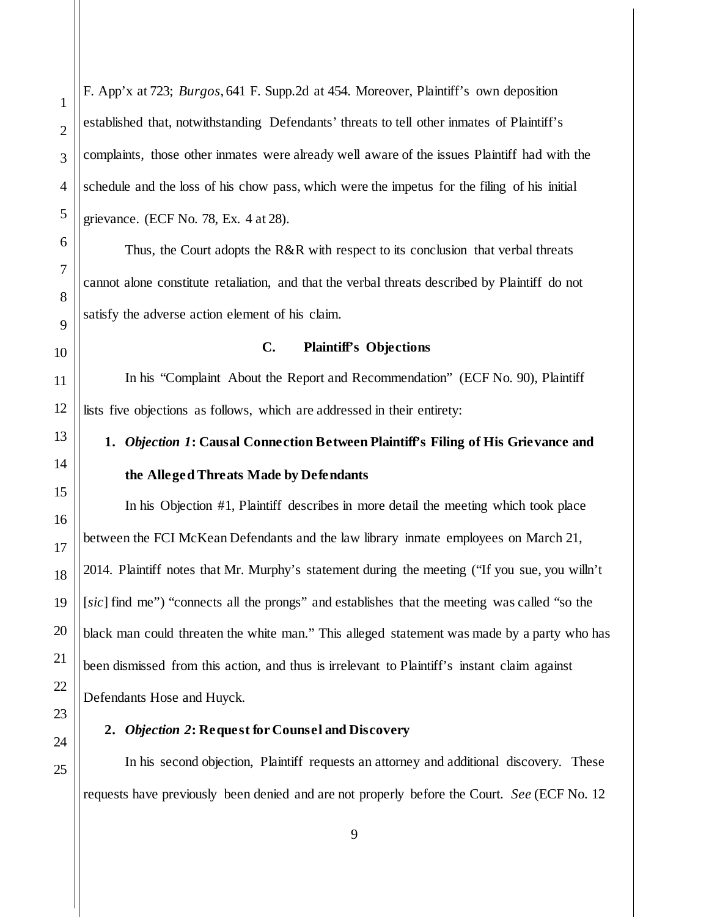F. App'x at 723; *Burgos*, 641 F. Supp.2d at 454. Moreover, Plaintiff's own deposition established that, notwithstanding Defendants' threats to tell other inmates of Plaintiff's complaints, those other inmates were already well aware of the issues Plaintiff had with the schedule and the loss of his chow pass, which were the impetus for the filing of his initial grievance. (ECF No. 78, Ex. 4 at 28).

Thus, the Court adopts the R&R with respect to its conclusion that verbal threats cannot alone constitute retaliation, and that the verbal threats described by Plaintiff do not satisfy the adverse action element of his claim.

#### **C. Plaintiff's Objections**

In his "Complaint About the Report and Recommendation" (ECF No. 90), Plaintiff lists five objections as follows, which are addressed in their entirety:

# **1.** *Objection 1***: Causal Connection Between Plaintiff's Filing of His Grievance and the Alleged Threats Made by Defendants**

In his Objection #1, Plaintiff describes in more detail the meeting which took place between the FCI McKean Defendants and the law library inmate employees on March 21, 2014. Plaintiff notes that Mr. Murphy's statement during the meeting ("If you sue, you willn't [*sic*] find me") "connects all the prongs" and establishes that the meeting was called "so the black man could threaten the white man." This alleged statement was made by a party who has been dismissed from this action, and thus is irrelevant to Plaintiff's instant claim against Defendants Hose and Huyck.

### **2.** *Objection 2***: Request for Counsel and Discovery**

In his second objection, Plaintiff requests an attorney and additional discovery. These requests have previously been denied and are not properly before the Court. *See* (ECF No. 12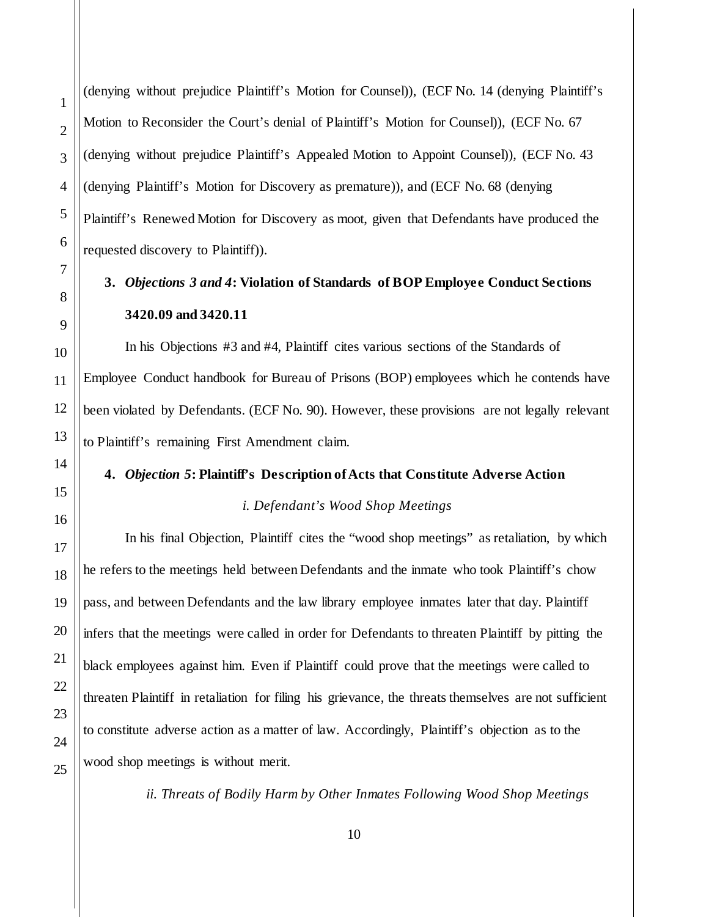(denying without prejudice Plaintiff's Motion for Counsel)), (ECF No. 14 (denying Plaintiff's Motion to Reconsider the Court's denial of Plaintiff's Motion for Counsel)), (ECF No. 67 (denying without prejudice Plaintiff's Appealed Motion to Appoint Counsel)), (ECF No. 43 (denying Plaintiff's Motion for Discovery as premature)), and (ECF No. 68 (denying Plaintiff's Renewed Motion for Discovery as moot, given that Defendants have produced the requested discovery to Plaintiff)).

# **3.** *Objections 3 and 4***: Violation of Standards of BOP Employee Conduct Sections 3420.09 and 3420.11**

In his Objections #3 and #4, Plaintiff cites various sections of the Standards of Employee Conduct handbook for Bureau of Prisons (BOP) employees which he contends have been violated by Defendants. (ECF No. 90). However, these provisions are not legally relevant to Plaintiff's remaining First Amendment claim.

# **4.** *Objection 5***: Plaintiff's Description of Acts that Constitute Adverse Action**

## *i. Defendant's Wood Shop Meetings*

In his final Objection, Plaintiff cites the "wood shop meetings" as retaliation, by which he refers to the meetings held between Defendants and the inmate who took Plaintiff's chow pass, and between Defendants and the law library employee inmates later that day. Plaintiff infers that the meetings were called in order for Defendants to threaten Plaintiff by pitting the black employees against him. Even if Plaintiff could prove that the meetings were called to threaten Plaintiff in retaliation for filing his grievance, the threats themselves are not sufficient to constitute adverse action as a matter of law. Accordingly, Plaintiff's objection as to the wood shop meetings is without merit.

*ii. Threats of Bodily Harm by Other Inmates Following Wood Shop Meetings*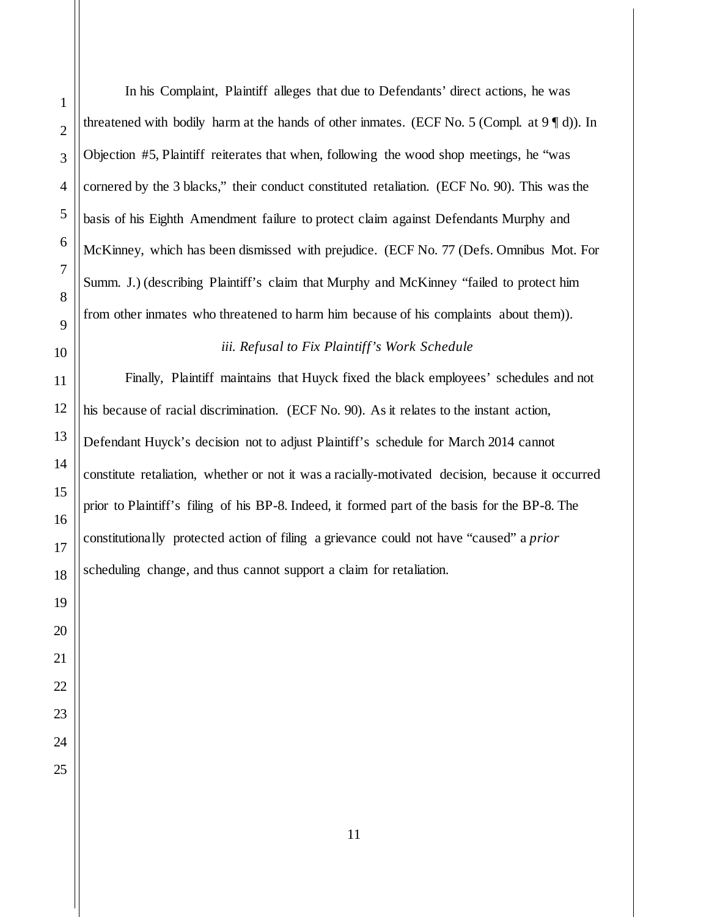In his Complaint, Plaintiff alleges that due to Defendants' direct actions, he was threatened with bodily harm at the hands of other inmates. (ECF No. 5 (Compl. at  $9 \text{ }^{\circ}$  d)). In Objection #5, Plaintiff reiterates that when, following the wood shop meetings, he "was cornered by the 3 blacks," their conduct constituted retaliation. (ECF No. 90). This was the basis of his Eighth Amendment failure to protect claim against Defendants Murphy and McKinney, which has been dismissed with prejudice. (ECF No. 77 (Defs. Omnibus Mot. For Summ. J.) (describing Plaintiff's claim that Murphy and McKinney "failed to protect him from other inmates who threatened to harm him because of his complaints about them)).

*iii. Refusal to Fix Plaintiff's Work Schedule*

Finally, Plaintiff maintains that Huyck fixed the black employees' schedules and not his because of racial discrimination. (ECF No. 90). As it relates to the instant action, Defendant Huyck's decision not to adjust Plaintiff's schedule for March 2014 cannot constitute retaliation, whether or not it was a racially-motivated decision, because it occurred prior to Plaintiff's filing of his BP-8. Indeed, it formed part of the basis for the BP-8. The constitutionally protected action of filing a grievance could not have "caused" a *prior* scheduling change, and thus cannot support a claim for retaliation.